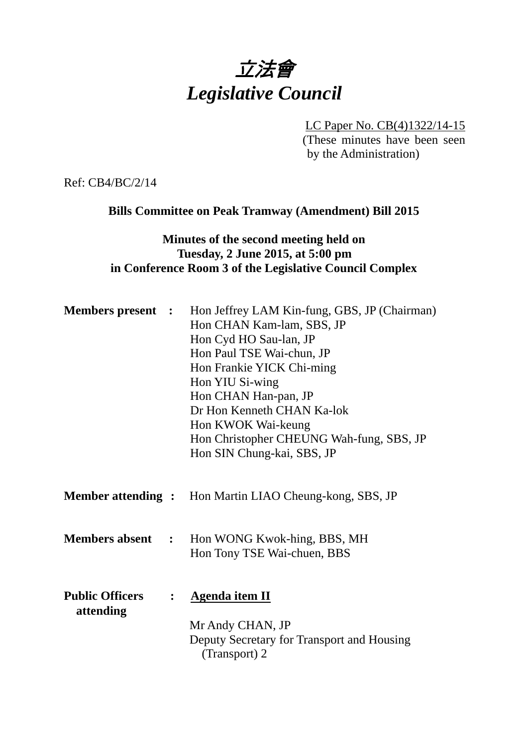# 立法會 *Legislative Council*

LC Paper No. CB(4)1322/14-15 (These minutes have been seen

by the Administration)

Ref: CB4/BC/2/14

# **Bills Committee on Peak Tramway (Amendment) Bill 2015**

## **Minutes of the second meeting held on Tuesday, 2 June 2015, at 5:00 pm in Conference Room 3 of the Legislative Council Complex**

|                                     | <b>Members present :</b> Hon Jeffrey LAM Kin-fung, GBS, JP (Chairman)<br>Hon CHAN Kam-lam, SBS, JP<br>Hon Cyd HO Sau-lan, JP<br>Hon Paul TSE Wai-chun, JP<br>Hon Frankie YICK Chi-ming<br>Hon YIU Si-wing<br>Hon CHAN Han-pan, JP<br>Dr Hon Kenneth CHAN Ka-lok<br>Hon KWOK Wai-keung<br>Hon Christopher CHEUNG Wah-fung, SBS, JP<br>Hon SIN Chung-kai, SBS, JP |
|-------------------------------------|-----------------------------------------------------------------------------------------------------------------------------------------------------------------------------------------------------------------------------------------------------------------------------------------------------------------------------------------------------------------|
|                                     | <b>Member attending :</b> Hon Martin LIAO Cheung-kong, SBS, JP                                                                                                                                                                                                                                                                                                  |
| <b>Members absent :</b>             | Hon WONG Kwok-hing, BBS, MH<br>Hon Tony TSE Wai-chuen, BBS                                                                                                                                                                                                                                                                                                      |
| <b>Public Officers</b><br>attending | <b>Agenda item II</b><br>Mr Andy CHAN, JP<br>Deputy Secretary for Transport and Housing<br>(Transport) 2                                                                                                                                                                                                                                                        |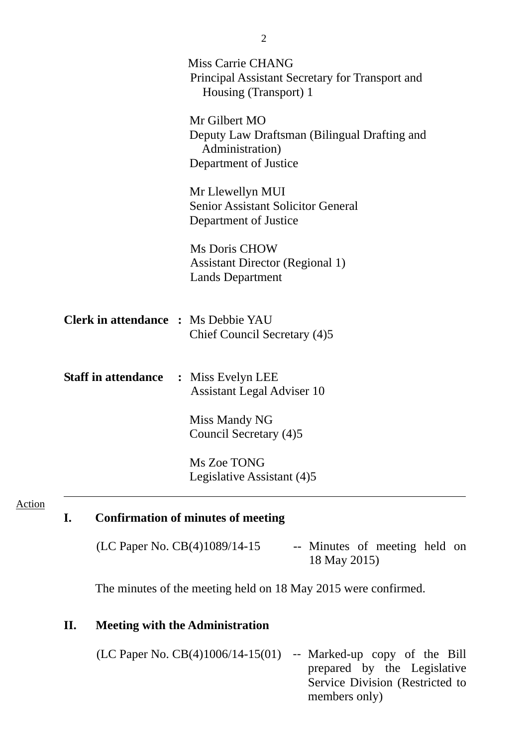|                                              | <b>Miss Carrie CHANG</b><br>Principal Assistant Secretary for Transport and<br>Housing (Transport) 1      |
|----------------------------------------------|-----------------------------------------------------------------------------------------------------------|
|                                              | Mr Gilbert MO<br>Deputy Law Draftsman (Bilingual Drafting and<br>Administration)<br>Department of Justice |
|                                              | Mr Llewellyn MUI<br><b>Senior Assistant Solicitor General</b><br>Department of Justice                    |
|                                              | <b>Ms Doris CHOW</b><br><b>Assistant Director (Regional 1)</b><br><b>Lands Department</b>                 |
| <b>Clerk in attendance : Ms Debbie YAU</b>   | Chief Council Secretary (4)5                                                                              |
| <b>Staff in attendance : Miss Evelyn LEE</b> | <b>Assistant Legal Adviser 10</b>                                                                         |
|                                              | Miss Mandy NG<br>Council Secretary (4)5                                                                   |
|                                              | Ms Zoe TONG<br>Legislative Assistant (4)5                                                                 |

#### Action

## **I. Confirmation of minutes of meeting**

 $(LC$  Paper No.  $CB(4)1089/14-15$  -- Minutes of meeting held on 18 May 2015)

The minutes of the meeting held on 18 May 2015 were confirmed.

## **II. Meeting with the Administration**

 $(LC$  Paper No.  $CB(4)1006/14-15(01)$  -- Marked-up copy of the Bill prepared by the Legislative Service Division (Restricted to members only)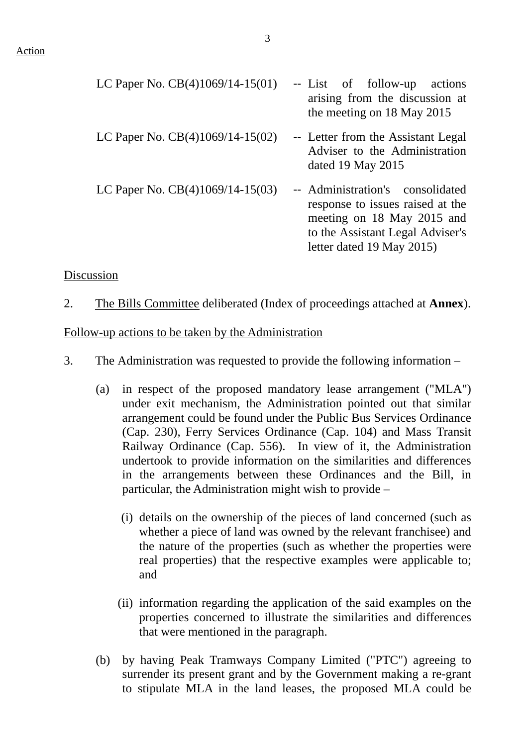| LC Paper No. CB(4)1069/14-15(01)   | -- List of follow-up actions<br>arising from the discussion at<br>the meeting on 18 May 2015                                                                        |
|------------------------------------|---------------------------------------------------------------------------------------------------------------------------------------------------------------------|
| LC Paper No. $CB(4)1069/14-15(02)$ | -- Letter from the Assistant Legal<br>Adviser to the Administration<br>dated 19 May $2015$                                                                          |
| LC Paper No. $CB(4)1069/14-15(03)$ | -- Administration's consolidated<br>response to issues raised at the<br>meeting on 18 May 2015 and<br>to the Assistant Legal Adviser's<br>letter dated 19 May 2015) |

### Discussion

2. The Bills Committee deliberated (Index of proceedings attached at **Annex**).

### Follow-up actions to be taken by the Administration

- 3. The Administration was requested to provide the following information
	- (a) in respect of the proposed mandatory lease arrangement ("MLA") under exit mechanism, the Administration pointed out that similar arrangement could be found under the Public Bus Services Ordinance (Cap. 230), Ferry Services Ordinance (Cap. 104) and Mass Transit Railway Ordinance (Cap. 556). In view of it, the Administration undertook to provide information on the similarities and differences in the arrangements between these Ordinances and the Bill, in particular, the Administration might wish to provide –
		- (i) details on the ownership of the pieces of land concerned (such as whether a piece of land was owned by the relevant franchisee) and the nature of the properties (such as whether the properties were real properties) that the respective examples were applicable to; and
		- (ii) information regarding the application of the said examples on the properties concerned to illustrate the similarities and differences that were mentioned in the paragraph.
	- (b) by having Peak Tramways Company Limited ("PTC") agreeing to surrender its present grant and by the Government making a re-grant to stipulate MLA in the land leases, the proposed MLA could be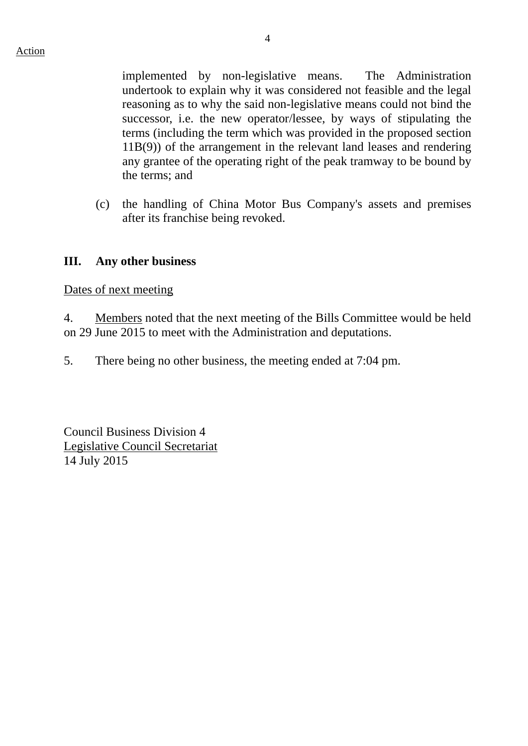implemented by non-legislative means. The Administration undertook to explain why it was considered not feasible and the legal reasoning as to why the said non-legislative means could not bind the successor, i.e. the new operator/lessee, by ways of stipulating the terms (including the term which was provided in the proposed section 11B(9)) of the arrangement in the relevant land leases and rendering any grantee of the operating right of the peak tramway to be bound by the terms; and

(c) the handling of China Motor Bus Company's assets and premises after its franchise being revoked.

## **III. Any other business**

Dates of next meeting

4. Members noted that the next meeting of the Bills Committee would be held on 29 June 2015 to meet with the Administration and deputations.

5. There being no other business, the meeting ended at 7:04 pm.

Council Business Division 4 Legislative Council Secretariat 14 July 2015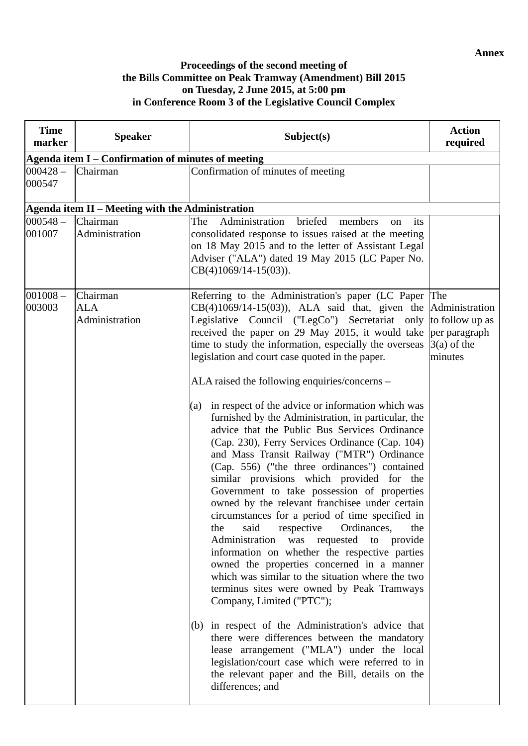**Annex** 

## **Proceedings of the second meeting of the Bills Committee on Peak Tramway (Amendment) Bill 2015 on Tuesday, 2 June 2015, at 5:00 pm in Conference Room 3 of the Legislative Council Complex**

| <b>Time</b><br>marker                              | <b>Speaker</b>                                   | Subject(s)                                                                                                                                                                                                                                                                                                                                                                                                                                                                                                                                                                                                                                                                                                                                                                                                                                                                                                                                                                                                                                                                                                                                                                                                                                                                                                                                                                                                                                                                                                                                            | <b>Action</b><br>required |
|----------------------------------------------------|--------------------------------------------------|-------------------------------------------------------------------------------------------------------------------------------------------------------------------------------------------------------------------------------------------------------------------------------------------------------------------------------------------------------------------------------------------------------------------------------------------------------------------------------------------------------------------------------------------------------------------------------------------------------------------------------------------------------------------------------------------------------------------------------------------------------------------------------------------------------------------------------------------------------------------------------------------------------------------------------------------------------------------------------------------------------------------------------------------------------------------------------------------------------------------------------------------------------------------------------------------------------------------------------------------------------------------------------------------------------------------------------------------------------------------------------------------------------------------------------------------------------------------------------------------------------------------------------------------------------|---------------------------|
| Agenda item I – Confirmation of minutes of meeting |                                                  |                                                                                                                                                                                                                                                                                                                                                                                                                                                                                                                                                                                                                                                                                                                                                                                                                                                                                                                                                                                                                                                                                                                                                                                                                                                                                                                                                                                                                                                                                                                                                       |                           |
| $000428 -$<br>000547                               | Chairman                                         | Confirmation of minutes of meeting                                                                                                                                                                                                                                                                                                                                                                                                                                                                                                                                                                                                                                                                                                                                                                                                                                                                                                                                                                                                                                                                                                                                                                                                                                                                                                                                                                                                                                                                                                                    |                           |
|                                                    | Agenda item II – Meeting with the Administration |                                                                                                                                                                                                                                                                                                                                                                                                                                                                                                                                                                                                                                                                                                                                                                                                                                                                                                                                                                                                                                                                                                                                                                                                                                                                                                                                                                                                                                                                                                                                                       |                           |
| $000548 -$<br>001007                               | Chairman<br>Administration                       | Administration<br>briefed<br>The<br>members<br>its<br><sub>on</sub><br>consolidated response to issues raised at the meeting<br>on 18 May 2015 and to the letter of Assistant Legal<br>Adviser ("ALA") dated 19 May 2015 (LC Paper No.<br>$CB(4)1069/14-15(03)).$                                                                                                                                                                                                                                                                                                                                                                                                                                                                                                                                                                                                                                                                                                                                                                                                                                                                                                                                                                                                                                                                                                                                                                                                                                                                                     |                           |
| $001008 -$<br>003003                               | Chairman<br><b>ALA</b><br>Administration         | Referring to the Administration's paper (LC Paper The<br>$CB(4)1069/14-15(03)$ , ALA said that, given the Administration<br>Legislative Council ("LegCo") Secretariat only to follow up as<br>received the paper on 29 May 2015, it would take per paragraph<br>time to study the information, especially the overseas<br>legislation and court case quoted in the paper.<br>ALA raised the following enquiries/concerns –<br>in respect of the advice or information which was<br>(a)<br>furnished by the Administration, in particular, the<br>advice that the Public Bus Services Ordinance<br>(Cap. 230), Ferry Services Ordinance (Cap. 104)<br>and Mass Transit Railway ("MTR") Ordinance<br>(Cap. 556) ("the three ordinances") contained<br>similar provisions which provided for the<br>Government to take possession of properties<br>owned by the relevant franchisee under certain<br>circumstances for a period of time specified in<br>said respective Ordinances,<br>the<br>the<br>Administration was requested to provide<br>information on whether the respective parties<br>owned the properties concerned in a manner<br>which was similar to the situation where the two<br>terminus sites were owned by Peak Tramways<br>Company, Limited ("PTC");<br>(b) in respect of the Administration's advice that<br>there were differences between the mandatory<br>lease arrangement ("MLA") under the local<br>legislation/court case which were referred to in<br>the relevant paper and the Bill, details on the<br>differences; and | $3(a)$ of the<br>minutes  |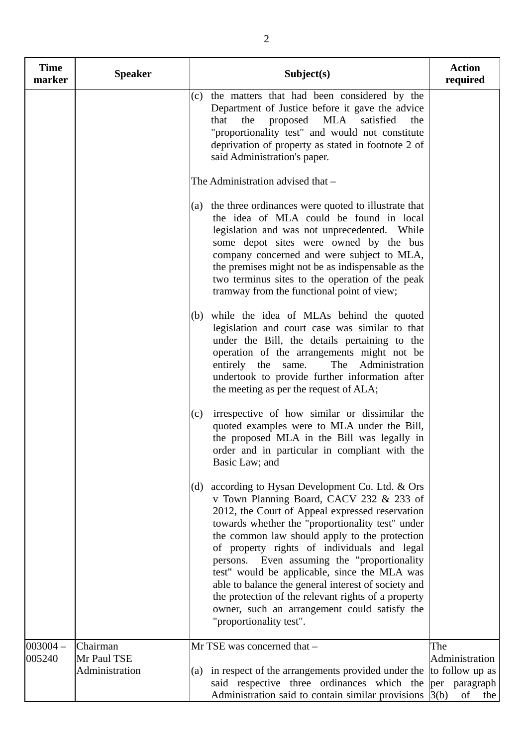| <b>Time</b><br>marker | <b>Speaker</b>                | Subject(s)                                                                                                                                                                                                                                                                                                                                                                                                                                                                                                                                                                                       | <b>Action</b><br>required                      |
|-----------------------|-------------------------------|--------------------------------------------------------------------------------------------------------------------------------------------------------------------------------------------------------------------------------------------------------------------------------------------------------------------------------------------------------------------------------------------------------------------------------------------------------------------------------------------------------------------------------------------------------------------------------------------------|------------------------------------------------|
|                       |                               | (c) the matters that had been considered by the<br>Department of Justice before it gave the advice<br>the<br>proposed<br>MLA<br>satisfied<br>that<br>the<br>"proportionality test" and would not constitute<br>deprivation of property as stated in footnote 2 of<br>said Administration's paper.                                                                                                                                                                                                                                                                                                |                                                |
|                       |                               | The Administration advised that -                                                                                                                                                                                                                                                                                                                                                                                                                                                                                                                                                                |                                                |
|                       |                               | (a) the three ordinances were quoted to illustrate that<br>the idea of MLA could be found in local<br>legislation and was not unprecedented. While<br>some depot sites were owned by the bus<br>company concerned and were subject to MLA,<br>the premises might not be as indispensable as the<br>two terminus sites to the operation of the peak<br>tramway from the functional point of view;                                                                                                                                                                                                 |                                                |
|                       |                               | (b) while the idea of MLAs behind the quoted<br>legislation and court case was similar to that<br>under the Bill, the details pertaining to the<br>operation of the arrangements might not be<br>Administration<br>entirely<br>the<br>The<br>same.<br>undertook to provide further information after<br>the meeting as per the request of ALA;                                                                                                                                                                                                                                                   |                                                |
|                       |                               | irrespective of how similar or dissimilar the<br>(c)<br>quoted examples were to MLA under the Bill,<br>the proposed MLA in the Bill was legally in<br>order and in particular in compliant with the<br>Basic Law; and                                                                                                                                                                                                                                                                                                                                                                            |                                                |
|                       |                               | according to Hysan Development Co. Ltd. & Ors<br>(d)<br>v Town Planning Board, CACV 232 & 233 of<br>2012, the Court of Appeal expressed reservation<br>towards whether the "proportionality test" under<br>the common law should apply to the protection<br>of property rights of individuals and legal<br>persons. Even assuming the "proportionality"<br>test" would be applicable, since the MLA was<br>able to balance the general interest of society and<br>the protection of the relevant rights of a property<br>owner, such an arrangement could satisfy the<br>"proportionality test". |                                                |
| $003004 -$            | Chairman                      | Mr TSE was concerned that -                                                                                                                                                                                                                                                                                                                                                                                                                                                                                                                                                                      | The                                            |
| 005240                | Mr Paul TSE<br>Administration | in respect of the arrangements provided under the<br>(a)<br>said respective three ordinances which the per paragraph<br>Administration said to contain similar provisions $ 3(b) $                                                                                                                                                                                                                                                                                                                                                                                                               | Administration<br>to follow up as<br>of<br>the |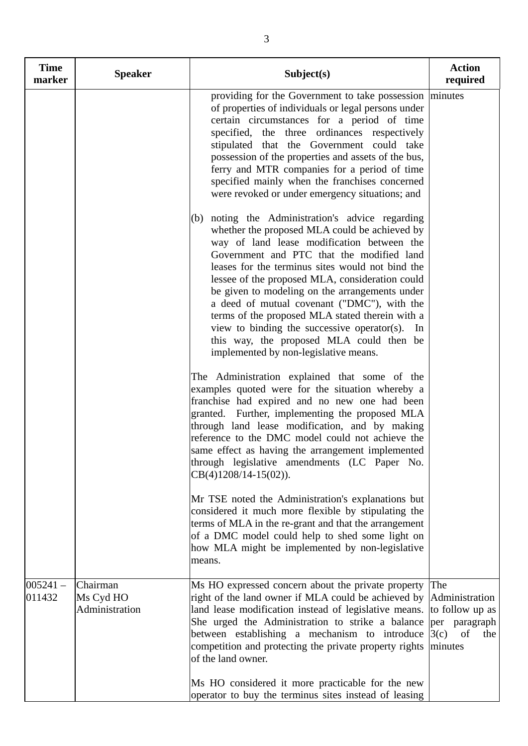| <b>Time</b><br>marker | <b>Speaker</b>                          | Subject(s)                                                                                                                                                                                                                                                                                                                                                                                                                                                                                                                                                                                     | <b>Action</b><br>required                                                                 |
|-----------------------|-----------------------------------------|------------------------------------------------------------------------------------------------------------------------------------------------------------------------------------------------------------------------------------------------------------------------------------------------------------------------------------------------------------------------------------------------------------------------------------------------------------------------------------------------------------------------------------------------------------------------------------------------|-------------------------------------------------------------------------------------------|
|                       |                                         | providing for the Government to take possession   minutes<br>of properties of individuals or legal persons under<br>certain circumstances for a period of time<br>specified, the three ordinances respectively<br>stipulated that the Government could take<br>possession of the properties and assets of the bus,<br>ferry and MTR companies for a period of time<br>specified mainly when the franchises concerned<br>were revoked or under emergency situations; and                                                                                                                        |                                                                                           |
|                       |                                         | (b) noting the Administration's advice regarding<br>whether the proposed MLA could be achieved by<br>way of land lease modification between the<br>Government and PTC that the modified land<br>leases for the terminus sites would not bind the<br>lessee of the proposed MLA, consideration could<br>be given to modeling on the arrangements under<br>a deed of mutual covenant ("DMC"), with the<br>terms of the proposed MLA stated therein with a<br>view to binding the successive operator(s). In<br>this way, the proposed MLA could then be<br>implemented by non-legislative means. |                                                                                           |
|                       |                                         | The Administration explained that some of the<br>examples quoted were for the situation whereby a<br>franchise had expired and no new one had been<br>granted. Further, implementing the proposed MLA<br>through land lease modification, and by making<br>reference to the DMC model could not achieve the<br>same effect as having the arrangement implemented<br>through legislative amendments (LC Paper No.<br>$CB(4)1208/14-15(02)).$                                                                                                                                                    |                                                                                           |
|                       |                                         | Mr TSE noted the Administration's explanations but<br>considered it much more flexible by stipulating the<br>terms of MLA in the re-grant and that the arrangement<br>of a DMC model could help to shed some light on<br>how MLA might be implemented by non-legislative<br>means.                                                                                                                                                                                                                                                                                                             |                                                                                           |
| $005241 -$<br>011432  | Chairman<br>Ms Cyd HO<br>Administration | Ms HO expressed concern about the private property<br>right of the land owner if MLA could be achieved by<br>land lease modification instead of legislative means.<br>She urged the Administration to strike a balance<br>between establishing a mechanism to introduce<br>competition and protecting the private property rights<br>of the land owner.                                                                                                                                                                                                                                        | The<br>Administration<br>to follow up as<br>per paragraph<br>3(c)<br>of<br>the<br>minutes |
|                       |                                         | Ms HO considered it more practicable for the new<br>operator to buy the terminus sites instead of leasing                                                                                                                                                                                                                                                                                                                                                                                                                                                                                      |                                                                                           |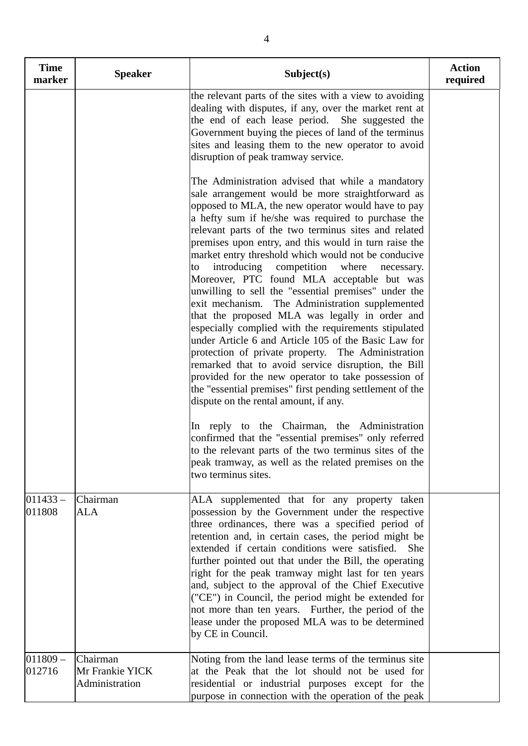| <b>Time</b><br>marker | <b>Speaker</b>                                | Subject(s)                                                                                                                                                                                                                                                                                                                                                                                                                                                                                                                                                                                                                                                                                                                                                                                                                                                                          | <b>Action</b><br>required |
|-----------------------|-----------------------------------------------|-------------------------------------------------------------------------------------------------------------------------------------------------------------------------------------------------------------------------------------------------------------------------------------------------------------------------------------------------------------------------------------------------------------------------------------------------------------------------------------------------------------------------------------------------------------------------------------------------------------------------------------------------------------------------------------------------------------------------------------------------------------------------------------------------------------------------------------------------------------------------------------|---------------------------|
|                       |                                               | the relevant parts of the sites with a view to avoiding<br>dealing with disputes, if any, over the market rent at<br>the end of each lease period. She suggested the<br>Government buying the pieces of land of the terminus<br>sites and leasing them to the new operator to avoid<br>disruption of peak tramway service.<br>The Administration advised that while a mandatory<br>sale arrangement would be more straightforward as<br>opposed to MLA, the new operator would have to pay<br>a hefty sum if he/she was required to purchase the<br>relevant parts of the two terminus sites and related<br>premises upon entry, and this would in turn raise the<br>market entry threshold which would not be conducive<br>introducing competition where<br>necessary.<br>to<br>Moreover, PTC found MLA acceptable but was<br>unwilling to sell the "essential premises" under the |                           |
|                       |                                               | exit mechanism. The Administration supplemented<br>that the proposed MLA was legally in order and<br>especially complied with the requirements stipulated<br>under Article 6 and Article 105 of the Basic Law for<br>protection of private property. The Administration<br>remarked that to avoid service disruption, the Bill<br>provided for the new operator to take possession of<br>the "essential premises" first pending settlement of the<br>dispute on the rental amount, if any.<br>In reply to the Chairman, the Administration<br>confirmed that the "essential premises" only referred<br>to the relevant parts of the two terminus sites of the                                                                                                                                                                                                                       |                           |
|                       |                                               | peak tramway, as well as the related premises on the<br>two terminus sites.                                                                                                                                                                                                                                                                                                                                                                                                                                                                                                                                                                                                                                                                                                                                                                                                         |                           |
| $011433 -$<br>011808  | Chairman<br><b>ALA</b>                        | ALA supplemented that for any property taken<br>possession by the Government under the respective<br>three ordinances, there was a specified period of<br>retention and, in certain cases, the period might be<br>extended if certain conditions were satisfied.<br><b>She</b><br>further pointed out that under the Bill, the operating<br>right for the peak tramway might last for ten years<br>and, subject to the approval of the Chief Executive<br>("CE") in Council, the period might be extended for<br>not more than ten years. Further, the period of the<br>lease under the proposed MLA was to be determined<br>by CE in Council.                                                                                                                                                                                                                                      |                           |
| $011809 -$<br>012716  | Chairman<br>Mr Frankie YICK<br>Administration | Noting from the land lease terms of the terminus site<br>at the Peak that the lot should not be used for<br>residential or industrial purposes except for the<br>purpose in connection with the operation of the peak                                                                                                                                                                                                                                                                                                                                                                                                                                                                                                                                                                                                                                                               |                           |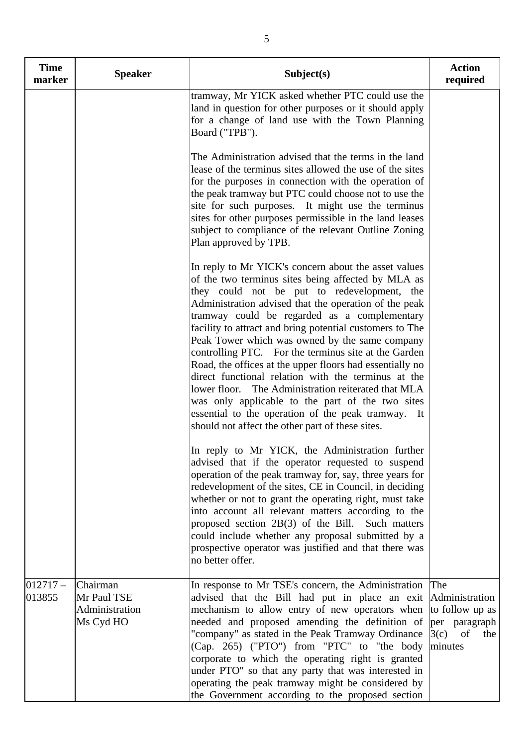| <b>Time</b><br>marker | <b>Speaker</b>                                         | Subject(s)                                                                                                                                                                                                                                                                                                                                                                                                                                                                                                                                                                                                                                                                                                                                                                       | <b>Action</b><br>required                                                                 |
|-----------------------|--------------------------------------------------------|----------------------------------------------------------------------------------------------------------------------------------------------------------------------------------------------------------------------------------------------------------------------------------------------------------------------------------------------------------------------------------------------------------------------------------------------------------------------------------------------------------------------------------------------------------------------------------------------------------------------------------------------------------------------------------------------------------------------------------------------------------------------------------|-------------------------------------------------------------------------------------------|
|                       |                                                        | tramway, Mr YICK asked whether PTC could use the<br>land in question for other purposes or it should apply<br>for a change of land use with the Town Planning<br>Board ("TPB").                                                                                                                                                                                                                                                                                                                                                                                                                                                                                                                                                                                                  |                                                                                           |
|                       |                                                        | The Administration advised that the terms in the land<br>lease of the terminus sites allowed the use of the sites<br>for the purposes in connection with the operation of<br>the peak tramway but PTC could choose not to use the<br>site for such purposes. It might use the terminus<br>sites for other purposes permissible in the land leases<br>subject to compliance of the relevant Outline Zoning<br>Plan approved by TPB.                                                                                                                                                                                                                                                                                                                                               |                                                                                           |
|                       |                                                        | In reply to Mr YICK's concern about the asset values<br>of the two terminus sites being affected by MLA as<br>they could not be put to redevelopment, the<br>Administration advised that the operation of the peak<br>tramway could be regarded as a complementary<br>facility to attract and bring potential customers to The<br>Peak Tower which was owned by the same company<br>controlling PTC. For the terminus site at the Garden<br>Road, the offices at the upper floors had essentially no<br>direct functional relation with the terminus at the<br>lower floor. The Administration reiterated that MLA<br>was only applicable to the part of the two sites<br>essential to the operation of the peak tramway. It<br>should not affect the other part of these sites. |                                                                                           |
|                       |                                                        | In reply to Mr YICK, the Administration further<br>advised that if the operator requested to suspend<br>operation of the peak tramway for, say, three years for<br>redevelopment of the sites, CE in Council, in deciding<br>whether or not to grant the operating right, must take<br>into account all relevant matters according to the<br>proposed section 2B(3) of the Bill. Such matters<br>could include whether any proposal submitted by a<br>prospective operator was justified and that there was<br>no better offer.                                                                                                                                                                                                                                                  |                                                                                           |
| $012717-$<br>013855   | Chairman<br>Mr Paul TSE<br>Administration<br>Ms Cyd HO | In response to Mr TSE's concern, the Administration<br>advised that the Bill had put in place an exit<br>mechanism to allow entry of new operators when<br>needed and proposed amending the definition of<br>"company" as stated in the Peak Tramway Ordinance<br>(Cap. 265) ("PTO") from "PTC" to "the body<br>corporate to which the operating right is granted<br>under PTO" so that any party that was interested in<br>operating the peak tramway might be considered by<br>the Government according to the proposed section                                                                                                                                                                                                                                                | The<br>Administration<br>to follow up as<br>per paragraph<br>3(c)<br>of<br>the<br>minutes |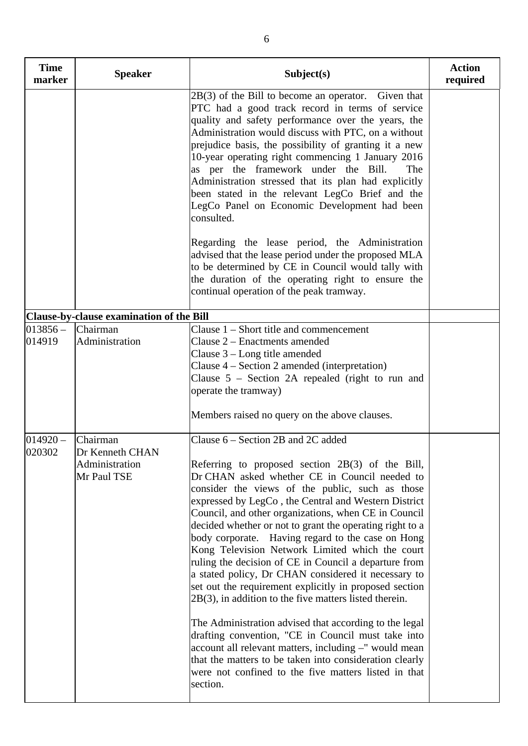| <b>Time</b><br>marker | <b>Speaker</b>                                               | Subject(s)                                                                                                                                                                                                                                                                                                                                                                                                                                                                                                                                                                                                                                                                                                                                                                                                                                                                                                                                                                                                                      | <b>Action</b><br>required |
|-----------------------|--------------------------------------------------------------|---------------------------------------------------------------------------------------------------------------------------------------------------------------------------------------------------------------------------------------------------------------------------------------------------------------------------------------------------------------------------------------------------------------------------------------------------------------------------------------------------------------------------------------------------------------------------------------------------------------------------------------------------------------------------------------------------------------------------------------------------------------------------------------------------------------------------------------------------------------------------------------------------------------------------------------------------------------------------------------------------------------------------------|---------------------------|
|                       |                                                              | $2B(3)$ of the Bill to become an operator. Given that<br>PTC had a good track record in terms of service<br>quality and safety performance over the years, the<br>Administration would discuss with PTC, on a without<br>prejudice basis, the possibility of granting it a new<br>10-year operating right commencing 1 January 2016<br>as per the framework under the Bill.<br>The<br>Administration stressed that its plan had explicitly<br>been stated in the relevant LegCo Brief and the<br>LegCo Panel on Economic Development had been<br>consulted.                                                                                                                                                                                                                                                                                                                                                                                                                                                                     |                           |
|                       |                                                              | Regarding the lease period, the Administration<br>advised that the lease period under the proposed MLA<br>to be determined by CE in Council would tally with<br>the duration of the operating right to ensure the<br>continual operation of the peak tramway.                                                                                                                                                                                                                                                                                                                                                                                                                                                                                                                                                                                                                                                                                                                                                                   |                           |
|                       | Clause-by-clause examination of the Bill                     |                                                                                                                                                                                                                                                                                                                                                                                                                                                                                                                                                                                                                                                                                                                                                                                                                                                                                                                                                                                                                                 |                           |
| $013856 -$<br>014919  | Chairman<br>Administration                                   | Clause $1$ – Short title and commencement<br>Clause 2 - Enactments amended<br>Clause $3 - Long$ title amended<br>Clause $4 - Section 2$ amended (interpretation)<br>Clause $5$ – Section 2A repealed (right to run and<br>operate the tramway)<br>Members raised no query on the above clauses.                                                                                                                                                                                                                                                                                                                                                                                                                                                                                                                                                                                                                                                                                                                                 |                           |
| $014920 -$<br>020302  | Chairman<br>Dr Kenneth CHAN<br>Administration<br>Mr Paul TSE | Clause 6 – Section 2B and 2C added<br>Referring to proposed section $2B(3)$ of the Bill,<br>Dr CHAN asked whether CE in Council needed to<br>consider the views of the public, such as those<br>expressed by LegCo, the Central and Western District<br>Council, and other organizations, when CE in Council<br>decided whether or not to grant the operating right to a<br>body corporate. Having regard to the case on Hong<br>Kong Television Network Limited which the court<br>ruling the decision of CE in Council a departure from<br>a stated policy, Dr CHAN considered it necessary to<br>set out the requirement explicitly in proposed section<br>$2B(3)$ , in addition to the five matters listed therein.<br>The Administration advised that according to the legal<br>drafting convention, "CE in Council must take into<br>account all relevant matters, including -" would mean<br>that the matters to be taken into consideration clearly<br>were not confined to the five matters listed in that<br>section. |                           |